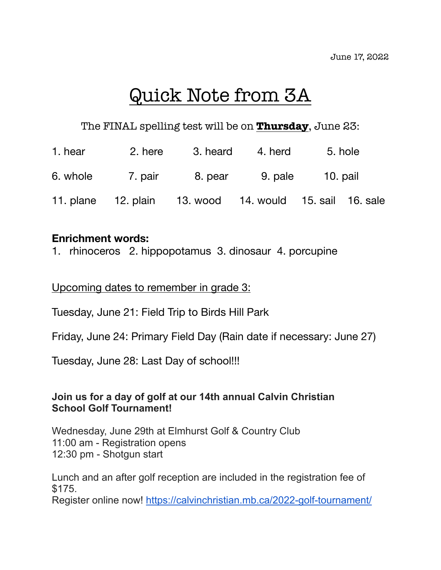# Quick Note from 3A

## The FINAL spelling test will be on **Thursday**, June 23:

| 1. hear  | 2. here                                                  | 3. heard | 4. herd | 5. hole  |  |
|----------|----------------------------------------------------------|----------|---------|----------|--|
| 6. whole | 7. pair                                                  | 8. pear  | 9. pale | 10. pail |  |
|          | 11. plane 12. plain 13. wood 14. would 15. sail 16. sale |          |         |          |  |

#### **Enrichment words:**

1. rhinoceros 2. hippopotamus 3. dinosaur 4. porcupine

#### Upcoming dates to remember in grade 3:

Tuesday, June 21: Field Trip to Birds Hill Park

Friday, June 24: Primary Field Day (Rain date if necessary: June 27)

Tuesday, June 28: Last Day of school!!!

### **Join us for a day of golf at our 14th annual Calvin Christian School Golf Tournament!**

Wednesday, June 29th at Elmhurst Golf & Country Club 11:00 am - Registration opens 12:30 pm - Shotgun start

Lunch and an after golf reception are included in the registration fee of \$175.

Register online now! <https://calvinchristian.mb.ca/2022-golf-tournament/>